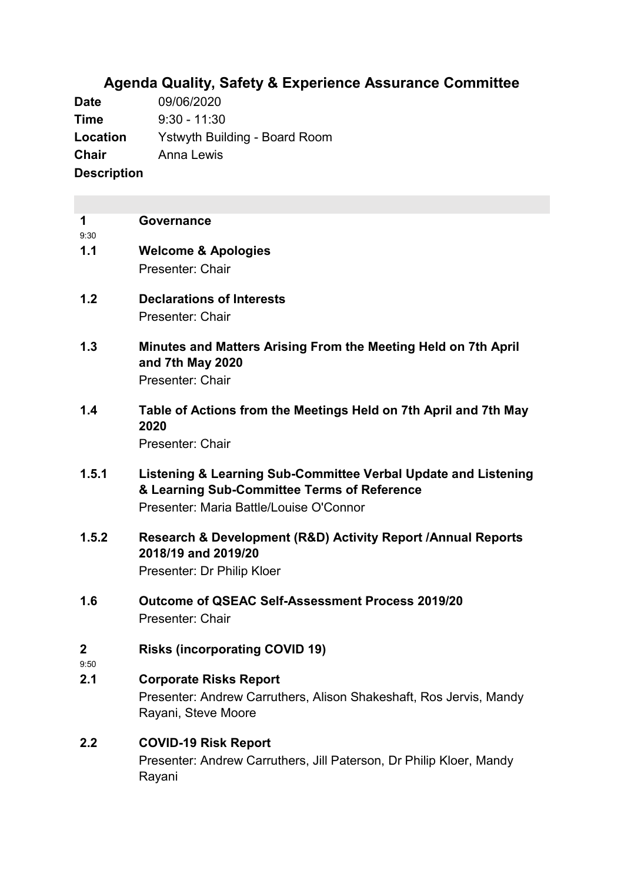# **Agenda Quality, Safety & Experience Assurance Committee**

**Date** 09/06/2020 **Time** 9:30 - 11:30 **Location** Ystwyth Building - Board Room **Chair** Anna Lewis **Description**

|      | Governance     |
|------|----------------|
| 9.30 |                |
| 1.1  | Welcome & Apol |

- **1.1 Welcome & Apologies** Presenter: Chair
- **1.2 Declarations of Interests** Presenter: Chair
- **1.3 Minutes and Matters Arising From the Meeting Held on 7th April and 7th May 2020** Presenter: Chair
- **1.4 Table of Actions from the Meetings Held on 7th April and 7th May 2020** Presenter: Chair
- **1.5.1 Listening & Learning Sub-Committee Verbal Update and Listening & Learning Sub-Committee Terms of Reference** Presenter: Maria Battle/Louise O'Connor
- **1.5.2 Research & Development (R&D) Activity Report /Annual Reports 2018/19 and 2019/20** Presenter: Dr Philip Kloer
- **1.6 Outcome of QSEAC Self-Assessment Process 2019/20** Presenter: Chair
- **2 Risks (incorporating COVID 19)**
- 9:50

## **2.1 Corporate Risks Report**

Presenter: Andrew Carruthers, Alison Shakeshaft, Ros Jervis, Mandy Rayani, Steve Moore

## **2.2 COVID-19 Risk Report**

Presenter: Andrew Carruthers, Jill Paterson, Dr Philip Kloer, Mandy Rayani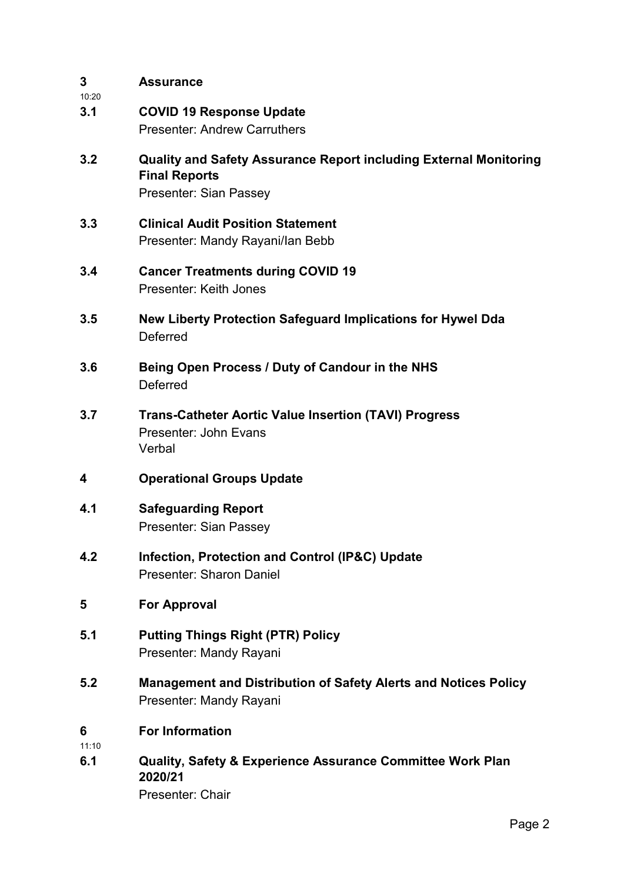| 3<br>10:20   | <b>Assurance</b>                                                                                                           |
|--------------|----------------------------------------------------------------------------------------------------------------------------|
| 3.1          | <b>COVID 19 Response Update</b><br><b>Presenter: Andrew Carruthers</b>                                                     |
| 3.2          | <b>Quality and Safety Assurance Report including External Monitoring</b><br><b>Final Reports</b><br>Presenter: Sian Passey |
| 3.3          | <b>Clinical Audit Position Statement</b><br>Presenter: Mandy Rayani/lan Bebb                                               |
| 3.4          | <b>Cancer Treatments during COVID 19</b><br>Presenter: Keith Jones                                                         |
| 3.5          | New Liberty Protection Safeguard Implications for Hywel Dda<br>Deferred                                                    |
| 3.6          | Being Open Process / Duty of Candour in the NHS<br>Deferred                                                                |
| 3.7          | <b>Trans-Catheter Aortic Value Insertion (TAVI) Progress</b><br>Presenter: John Evans<br>Verbal                            |
| 4            | <b>Operational Groups Update</b>                                                                                           |
| 4.1          | <b>Safeguarding Report</b><br><b>Presenter: Sian Passey</b>                                                                |
| 4.2          | Infection, Protection and Control (IP&C) Update<br>Presenter: Sharon Daniel                                                |
| 5            | <b>For Approval</b>                                                                                                        |
| 5.1          | <b>Putting Things Right (PTR) Policy</b><br>Presenter: Mandy Rayani                                                        |
| 5.2          | <b>Management and Distribution of Safety Alerts and Notices Policy</b><br>Presenter: Mandy Rayani                          |
| 6            | <b>For Information</b>                                                                                                     |
| 11:10<br>6.1 | <b>Quality, Safety &amp; Experience Assurance Committee Work Plan</b><br>2020/21<br>Presenter: Chair                       |
|              | Page 2                                                                                                                     |